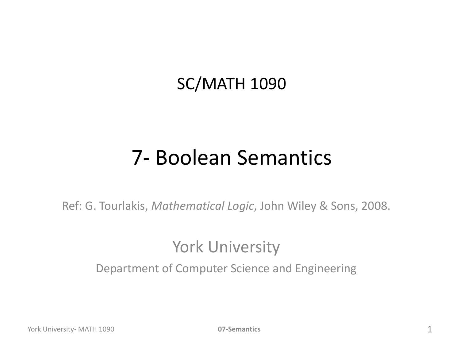#### SC/MATH 1090

#### 7- Boolean Semantics

Ref: G. Tourlakis, *Mathematical Logic*, John Wiley & Sons, 2008.

#### York University

Department of Computer Science and Engineering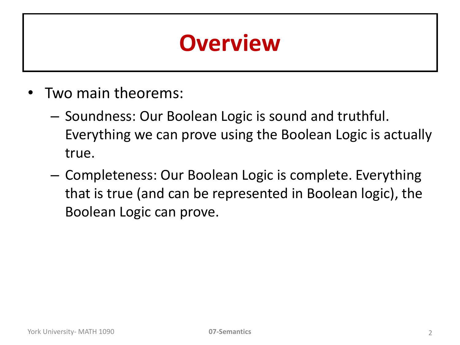# **Overview**

- Two main theorems:
	- Soundness: Our Boolean Logic is sound and truthful. Everything we can prove using the Boolean Logic is actually true.
	- Completeness: Our Boolean Logic is complete. Everything that is true (and can be represented in Boolean logic), the Boolean Logic can prove.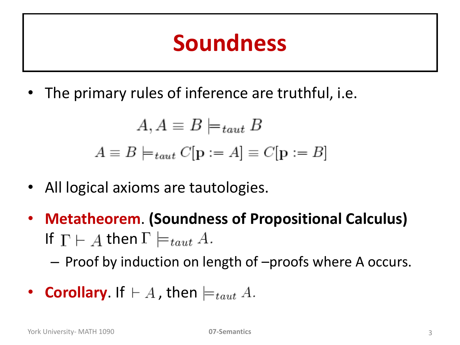### **Soundness**

• The primary rules of inference are truthful, i.e.

$$
A, A \equiv B \models_{taut} B
$$

$$
A \equiv B \models_{taut} C[\mathbf{p} := A] \equiv C[\mathbf{p} := B]
$$

- All logical axioms are tautologies.
- **Metatheorem**. **(Soundness of Propositional Calculus)**  If  $\Gamma \vdash A$  then  $\Gamma \models_{taut} A$ .

– Proof by induction on length of –proofs where A occurs.

**Corollary.** If  $\vdash A$ , then  $\models_{taut} A$ .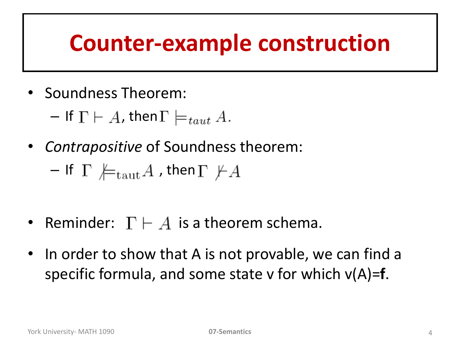### **Counter-example construction**

• Soundness Theorem:

 $-$  If  $\Gamma \vdash A$ , then  $\Gamma \models_{taut} A$ .

• *Contrapositive* of Soundness theorem:

$$
\mathsf{\textcolor{blue}{-}} \ \ \mathsf{If} \ \ \Gamma \ \not \models_{\mathrm{taut}} A \ \text{, then} \ \Gamma \ \not \vdash A
$$

- Reminder:  $\Gamma \vdash A$  is a theorem schema.
- In order to show that A is not provable, we can find a specific formula, and some state v for which v(A)=**f**.